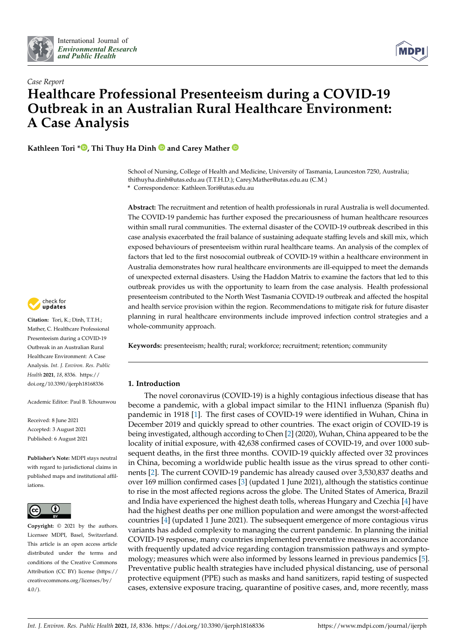



# *Case Report* **Healthcare Professional Presenteeism during a COVID-19 Outbreak in an Australian Rural Healthcare Environment: A Case Analysis**

**Kathleen Tori [\\*](https://orcid.org/0000-0003-4026-6842)<sup>1</sup>, Thi Thuy Ha Dinh<sup>1</sup> and Carey Mather**<sup>1</sup>

School of Nursing, College of Health and Medicine, University of Tasmania, Launceston 7250, Australia; thithuyha.dinh@utas.edu.au (T.T.H.D.); Carey.Mather@utas.edu.au (C.M.)

**\*** Correspondence: Kathleen.Tori@utas.edu.au

**Abstract:** The recruitment and retention of health professionals in rural Australia is well documented. The COVID-19 pandemic has further exposed the precariousness of human healthcare resources within small rural communities. The external disaster of the COVID-19 outbreak described in this case analysis exacerbated the frail balance of sustaining adequate staffing levels and skill mix, which exposed behaviours of presenteeism within rural healthcare teams. An analysis of the complex of factors that led to the first nosocomial outbreak of COVID-19 within a healthcare environment in Australia demonstrates how rural healthcare environments are ill-equipped to meet the demands of unexpected external disasters. Using the Haddon Matrix to examine the factors that led to this outbreak provides us with the opportunity to learn from the case analysis. Health professional presenteeism contributed to the North West Tasmania COVID-19 outbreak and affected the hospital and health service provision within the region. Recommendations to mitigate risk for future disaster planning in rural healthcare environments include improved infection control strategies and a whole-community approach.

**Keywords:** presenteeism; health; rural; workforce; recruitment; retention; community

## **1. Introduction**

The novel coronavirus (COVID-19) is a highly contagious infectious disease that has become a pandemic, with a global impact similar to the H1N1 influenza (Spanish flu) pandemic in 1918 [\[1\]](#page-7-0). The first cases of COVID-19 were identified in Wuhan, China in December 2019 and quickly spread to other countries. The exact origin of COVID-19 is being investigated, although according to Chen [\[2\]](#page-7-1) (2020), Wuhan, China appeared to be the locality of initial exposure, with 42,638 confirmed cases of COVID-19, and over 1000 subsequent deaths, in the first three months. COVID-19 quickly affected over 32 provinces in China, becoming a worldwide public health issue as the virus spread to other continents [\[2\]](#page-7-1). The current COVID-19 pandemic has already caused over 3,530,837 deaths and over 169 million confirmed cases [\[3\]](#page-7-2) (updated 1 June 2021), although the statistics continue to rise in the most affected regions across the globe. The United States of America, Brazil and India have experienced the highest death tolls, whereas Hungary and Czechia [\[4\]](#page-7-3) have had the highest deaths per one million population and were amongst the worst-affected countries [\[4\]](#page-7-3) (updated 1 June 2021). The subsequent emergence of more contagious virus variants has added complexity to managing the current pandemic. In planning the initial COVID-19 response, many countries implemented preventative measures in accordance with frequently updated advice regarding contagion transmission pathways and symptomology; measures which were also informed by lessons learned in previous pandemics [\[5\]](#page-7-4). Preventative public health strategies have included physical distancing, use of personal protective equipment (PPE) such as masks and hand sanitizers, rapid testing of suspected cases, extensive exposure tracing, quarantine of positive cases, and, more recently, mass



**Citation:** Tori, K.; Dinh, T.T.H.; Mather, C. Healthcare Professional Presenteeism during a COVID-19 Outbreak in an Australian Rural Healthcare Environment: A Case Analysis. *Int. J. Environ. Res. Public Health* **2021**, *18*, 8336. [https://](https://doi.org/10.3390/ijerph18168336) [doi.org/10.3390/ijerph18168336](https://doi.org/10.3390/ijerph18168336)

Academic Editor: Paul B. Tchounwou

Received: 8 June 2021 Accepted: 3 August 2021 Published: 6 August 2021

**Publisher's Note:** MDPI stays neutral with regard to jurisdictional claims in published maps and institutional affiliations.



**Copyright:** © 2021 by the authors. Licensee MDPI, Basel, Switzerland. This article is an open access article distributed under the terms and conditions of the Creative Commons Attribution (CC BY) license (https:/[/](https://creativecommons.org/licenses/by/4.0/) [creativecommons.org/licenses/by/](https://creativecommons.org/licenses/by/4.0/)  $4.0/$ ).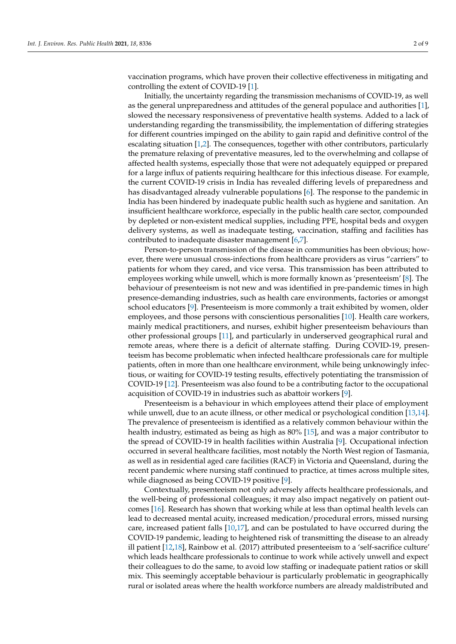vaccination programs, which have proven their collective effectiveness in mitigating and controlling the extent of COVID-19 [\[1\]](#page-7-0).

Initially, the uncertainty regarding the transmission mechanisms of COVID-19, as well as the general unpreparedness and attitudes of the general populace and authorities [\[1\]](#page-7-0), slowed the necessary responsiveness of preventative health systems. Added to a lack of understanding regarding the transmissibility, the implementation of differing strategies for different countries impinged on the ability to gain rapid and definitive control of the escalating situation [\[1](#page-7-0)[,2\]](#page-7-1). The consequences, together with other contributors, particularly the premature relaxing of preventative measures, led to the overwhelming and collapse of affected health systems, especially those that were not adequately equipped or prepared for a large influx of patients requiring healthcare for this infectious disease. For example, the current COVID-19 crisis in India has revealed differing levels of preparedness and has disadvantaged already vulnerable populations [\[6\]](#page-7-5). The response to the pandemic in India has been hindered by inadequate public health such as hygiene and sanitation. An insufficient healthcare workforce, especially in the public health care sector, compounded by depleted or non-existent medical supplies, including PPE, hospital beds and oxygen delivery systems, as well as inadequate testing, vaccination, staffing and facilities has contributed to inadequate disaster management [\[6,](#page-7-5)[7\]](#page-7-6).

Person-to-person transmission of the disease in communities has been obvious; however, there were unusual cross-infections from healthcare providers as virus "carriers" to patients for whom they cared, and vice versa. This transmission has been attributed to employees working while unwell, which is more formally known as 'presenteeism' [\[8\]](#page-7-7). The behaviour of presenteeism is not new and was identified in pre-pandemic times in high presence-demanding industries, such as health care environments, factories or amongst school educators [\[9\]](#page-7-8). Presenteeism is more commonly a trait exhibited by women, older employees, and those persons with conscientious personalities [\[10\]](#page-7-9). Health care workers, mainly medical practitioners, and nurses, exhibit higher presenteeism behaviours than other professional groups [\[11\]](#page-7-10), and particularly in underserved geographical rural and remote areas, where there is a deficit of alternate staffing. During COVID-19, presenteeism has become problematic when infected healthcare professionals care for multiple patients, often in more than one healthcare environment, while being unknowingly infectious, or waiting for COVID-19 testing results, effectively potentiating the transmission of COVID-19 [\[12\]](#page-7-11). Presenteeism was also found to be a contributing factor to the occupational acquisition of COVID-19 in industries such as abattoir workers [\[9\]](#page-7-8).

Presenteeism is a behaviour in which employees attend their place of employment while unwell, due to an acute illness, or other medical or psychological condition [\[13,](#page-7-12)[14\]](#page-7-13). The prevalence of presenteeism is identified as a relatively common behaviour within the health industry, estimated as being as high as 80% [\[15\]](#page-7-14), and was a major contributor to the spread of COVID-19 in health facilities within Australia [\[9\]](#page-7-8). Occupational infection occurred in several healthcare facilities, most notably the North West region of Tasmania, as well as in residential aged care facilities (RACF) in Victoria and Queensland, during the recent pandemic where nursing staff continued to practice, at times across multiple sites, while diagnosed as being COVID-19 positive [\[9\]](#page-7-8).

Contextually, presenteeism not only adversely affects healthcare professionals, and the well-being of professional colleagues; it may also impact negatively on patient outcomes [\[16\]](#page-7-15). Research has shown that working while at less than optimal health levels can lead to decreased mental acuity, increased medication/procedural errors, missed nursing care, increased patient falls [\[10](#page-7-9)[,17\]](#page-7-16), and can be postulated to have occurred during the COVID-19 pandemic, leading to heightened risk of transmitting the disease to an already ill patient [\[12](#page-7-11)[,18\]](#page-7-17), Rainbow et al. (2017) attributed presenteeism to a 'self-sacrifice culture' which leads healthcare professionals to continue to work while actively unwell and expect their colleagues to do the same, to avoid low staffing or inadequate patient ratios or skill mix. This seemingly acceptable behaviour is particularly problematic in geographically rural or isolated areas where the health workforce numbers are already maldistributed and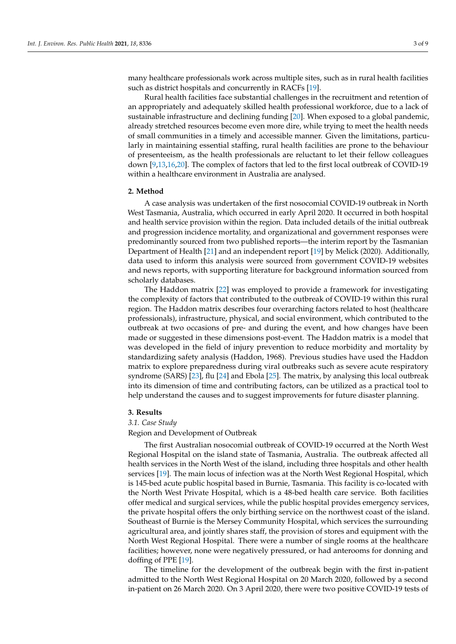many healthcare professionals work across multiple sites, such as in rural health facilities such as district hospitals and concurrently in RACFs [\[19\]](#page-7-18).

Rural health facilities face substantial challenges in the recruitment and retention of an appropriately and adequately skilled health professional workforce, due to a lack of sustainable infrastructure and declining funding [\[20\]](#page-7-19). When exposed to a global pandemic, already stretched resources become even more dire, while trying to meet the health needs of small communities in a timely and accessible manner. Given the limitations, particularly in maintaining essential staffing, rural health facilities are prone to the behaviour of presenteeism, as the health professionals are reluctant to let their fellow colleagues down [\[9](#page-7-8)[,13,](#page-7-12)[16,](#page-7-15)[20\]](#page-7-19). The complex of factors that led to the first local outbreak of COVID-19 within a healthcare environment in Australia are analysed.

#### **2. Method**

A case analysis was undertaken of the first nosocomial COVID-19 outbreak in North West Tasmania, Australia, which occurred in early April 2020. It occurred in both hospital and health service provision within the region. Data included details of the initial outbreak and progression incidence mortality, and organizational and government responses were predominantly sourced from two published reports—the interim report by the Tasmanian Department of Health [\[21\]](#page-7-20) and an independent report [\[19\]](#page-7-18) by Melick (2020). Additionally, data used to inform this analysis were sourced from government COVID-19 websites and news reports, with supporting literature for background information sourced from scholarly databases.

The Haddon matrix [\[22\]](#page-7-21) was employed to provide a framework for investigating the complexity of factors that contributed to the outbreak of COVID-19 within this rural region. The Haddon matrix describes four overarching factors related to host (healthcare professionals), infrastructure, physical, and social environment, which contributed to the outbreak at two occasions of pre- and during the event, and how changes have been made or suggested in these dimensions post-event. The Haddon matrix is a model that was developed in the field of injury prevention to reduce morbidity and mortality by standardizing safety analysis (Haddon, 1968). Previous studies have used the Haddon matrix to explore preparedness during viral outbreaks such as severe acute respiratory syndrome (SARS) [\[23\]](#page-7-22), flu [\[24\]](#page-8-0) and Ebola [\[25\]](#page-8-1). The matrix, by analysing this local outbreak into its dimension of time and contributing factors, can be utilized as a practical tool to help understand the causes and to suggest improvements for future disaster planning.

## **3. Results**

## *3.1. Case Study*

Region and Development of Outbreak

The first Australian nosocomial outbreak of COVID-19 occurred at the North West Regional Hospital on the island state of Tasmania, Australia. The outbreak affected all health services in the North West of the island, including three hospitals and other health services [\[19\]](#page-7-18). The main locus of infection was at the North West Regional Hospital, which is 145-bed acute public hospital based in Burnie, Tasmania. This facility is co-located with the North West Private Hospital, which is a 48-bed health care service. Both facilities offer medical and surgical services, while the public hospital provides emergency services, the private hospital offers the only birthing service on the northwest coast of the island. Southeast of Burnie is the Mersey Community Hospital, which services the surrounding agricultural area, and jointly shares staff, the provision of stores and equipment with the North West Regional Hospital. There were a number of single rooms at the healthcare facilities; however, none were negatively pressured, or had anterooms for donning and doffing of PPE [\[19\]](#page-7-18).

The timeline for the development of the outbreak begin with the first in-patient admitted to the North West Regional Hospital on 20 March 2020, followed by a second in-patient on 26 March 2020. On 3 April 2020, there were two positive COVID-19 tests of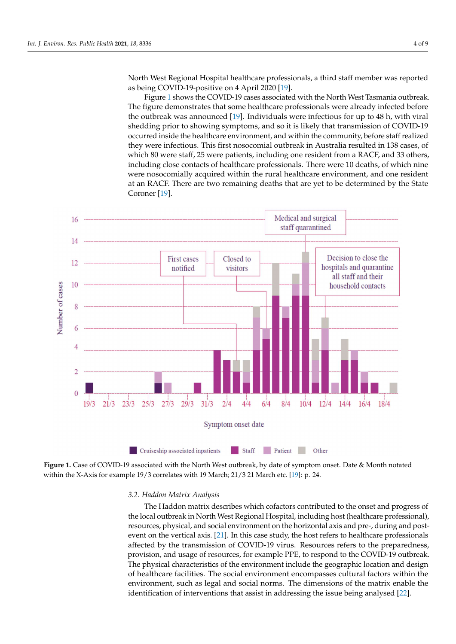North West Regional Hospital healthcare professionals, a third staff member was reported as being COVID-19-positive on 4 April 2020  $[19]$ .

Figure 1 shows t[he](#page-3-0) COVID-19 cases associated with the North West Tasmania outbreak. The figure demonstrates that some healthcare professionals were already infected before the outbreak was announced [\[19\]](#page-7-18). Individuals were infectious for up to 48 h, with viral transmission of COVID-10 shedding prior to showing symptoms, and so it is likely that transmission of COVID-19 occurred inside the healthcare environment, and within the community, before staff realized<br>diagonalized the integration of the substantial outbreak in the state in 1388 of the staff realized in 1388. they were infectious. This first nosocomial outbreak in Australia resulted in 138 cases, of which 80 were staff, 25 were patients, including one resident from a RACF, and 33 others,  $\frac{1}{2}$ including close contacts of healthcare professionals. There were 10 deaths, of which nine meridum genose contacts of nearthcare professionals. There were to deaths, or which rune<br>were nosocomially acquired within the rural healthcare environment, and one resident at an RACF. There are two remaining deaths that are yet to be determined by the State at an RACF. Coroner [\[19\]](#page-7-18).  $\frac{3.5}{2.5}$  Coroner Coroner Coroner Coroner Coroner Coroner Coroner Coroner Coroner Coroner Coroner Coroner Coroner Coroner Coroner Coroner Coroner Coroner Coroner Coroner Coroner Coroner Coroner Coroner Coroner Coroner

<span id="page-3-0"></span>

**Figure 1.** Case of COVID-19 associated with the North West outbreak, by date of symptom onset. Date & Month notated within the X-Axis for example 19/3 correlates with 19 March; 21/3 21 March etc. [19]: p. 24. within the X-Axis for example 19/3 correlates with 19 March; 21/3 21 March etc. [\[19\]](#page-7-18): p. 24.

## 3.2. Haddon Matrix Analysis *3.2. Haddon Matrix Analysis*

The Haddon matrix describes which cofactors contributed to the onset and progress The Haddon matrix describes which cofactors contributed to the onset and progress of the local outbreak in North West Regional Hospital, including host (healthcare professional), resources, physical, and social environment on the horizontal axis and pre-, during and postevent on t[he v](#page-7-20)ertical axis. [21]. In this case study, the host refers to healthcare professionals affected by the transmission of COVID-19 virus. Resources refers to the preparedness, provision, and usage of resources, for example PPE, to respond to the COVID-19 outbreak. The physical characteristics of the environment include the geographic location and design of healthcare facilities. The social environment encompasses cultural factors within the environment, such as legal and social norms. The dimensions of the matrix enable the identification of interventions that assist in addressing the issue being analysed [\[22\]](#page-7-21).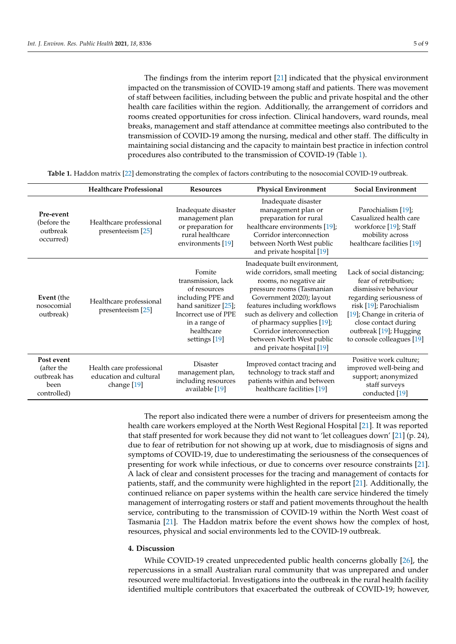The findings from the interim report [\[21\]](#page-7-20) indicated that the physical environment impacted on the transmission of COVID-19 among staff and patients. There was movement of staff between facilities, including between the public and private hospital and the other health care facilities within the region. Additionally, the arrangement of corridors and rooms created opportunities for cross infection. Clinical handovers, ward rounds, meal breaks, management and staff attendance at committee meetings also contributed to the transmission of COVID-19 among the nursing, medical and other staff. The difficulty in maintaining social distancing and the capacity to maintain best practice in infection control procedures also contributed to the transmission of COVID-19 (Table [1\)](#page-4-0).

**Table 1.** Haddon matrix [\[22\]](#page-7-21) demonstrating the complex of factors contributing to the nosocomial COVID-19 outbreak.

<span id="page-4-0"></span>

|                                                                 | <b>Healthcare Professional</b>                                    | <b>Resources</b>                                                                                                                                                     | <b>Physical Environment</b>                                                                                                                                                                                                                                                                                                              | <b>Social Environment</b>                                                                                                                                                                                                                        |
|-----------------------------------------------------------------|-------------------------------------------------------------------|----------------------------------------------------------------------------------------------------------------------------------------------------------------------|------------------------------------------------------------------------------------------------------------------------------------------------------------------------------------------------------------------------------------------------------------------------------------------------------------------------------------------|--------------------------------------------------------------------------------------------------------------------------------------------------------------------------------------------------------------------------------------------------|
| Pre-event<br>(before the<br>outbreak<br>occurred)               | Healthcare professional<br>presenteeism [25]                      | Inadequate disaster<br>management plan<br>or preparation for<br>rural healthcare<br>environments [19]                                                                | Inadequate disaster<br>management plan or<br>preparation for rural<br>healthcare environments [19];<br>Corridor interconnection<br>between North West public<br>and private hospital [19]                                                                                                                                                | Parochialism [19];<br>Casualized health care<br>workforce [19]; Staff<br>mobility across<br>healthcare facilities [19]                                                                                                                           |
| Event (the<br>nosocomial<br>outbreak)                           | Healthcare professional<br>presenteeism [25]                      | Fomite<br>transmission, lack<br>of resources<br>including PPE and<br>hand sanitizer $[25]$ ;<br>Incorrect use of PPE<br>in a range of<br>healthcare<br>settings [19] | Inadequate built environment,<br>wide corridors, small meeting<br>rooms, no negative air<br>pressure rooms (Tasmanian<br>Government 2020); layout<br>features including workflows<br>such as delivery and collection<br>of pharmacy supplies [19];<br>Corridor interconnection<br>between North West public<br>and private hospital [19] | Lack of social distancing;<br>fear of retribution;<br>dismissive behaviour<br>regarding seriousness of<br>risk [19]; Parochialism<br>[19]; Change in criteria of<br>close contact during<br>outbreak [19]; Hugging<br>to console colleagues [19] |
| Post event<br>(after the<br>outbreak has<br>been<br>controlled) | Health care professional<br>education and cultural<br>change [19] | <b>Disaster</b><br>management plan,<br>including resources<br>available [19]                                                                                         | Improved contact tracing and<br>technology to track staff and<br>patients within and between<br>healthcare facilities [19]                                                                                                                                                                                                               | Positive work culture;<br>improved well-being and<br>support; anonymized<br>staff surveys<br>conducted [19]                                                                                                                                      |

The report also indicated there were a number of drivers for presenteeism among the health care workers employed at the North West Regional Hospital [\[21\]](#page-7-20). It was reported that staff presented for work because they did not want to 'let colleagues down' [\[21\]](#page-7-20) (p. 24), due to fear of retribution for not showing up at work, due to misdiagnosis of signs and symptoms of COVID-19, due to underestimating the seriousness of the consequences of presenting for work while infectious, or due to concerns over resource constraints [\[21\]](#page-7-20). A lack of clear and consistent processes for the tracing and management of contacts for patients, staff, and the community were highlighted in the report [\[21\]](#page-7-20). Additionally, the continued reliance on paper systems within the health care service hindered the timely management of interrogating rosters or staff and patient movements throughout the health service, contributing to the transmission of COVID-19 within the North West coast of Tasmania [\[21\]](#page-7-20). The Haddon matrix before the event shows how the complex of host, resources, physical and social environments led to the COVID-19 outbreak.

#### **4. Discussion**

While COVID-19 created unprecedented public health concerns globally [\[26\]](#page-8-2), the repercussions in a small Australian rural community that was unprepared and under resourced were multifactorial. Investigations into the outbreak in the rural health facility identified multiple contributors that exacerbated the outbreak of COVID-19; however,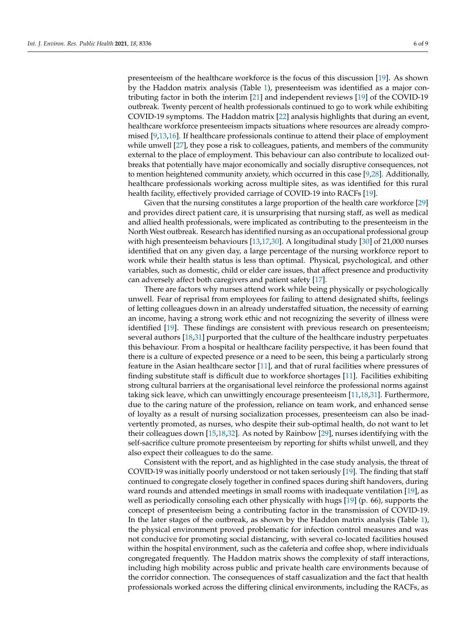presenteeism of the healthcare workforce is the focus of this discussion [\[19\]](#page-7-18). As shown by the Haddon matrix analysis (Table [1\)](#page-4-0), presenteeism was identified as a major contributing factor in both the interim [\[21\]](#page-7-20) and independent reviews [\[19\]](#page-7-18) of the COVID-19 outbreak. Twenty percent of health professionals continued to go to work while exhibiting COVID-19 symptoms. The Haddon matrix [\[22\]](#page-7-21) analysis highlights that during an event, healthcare workforce presenteeism impacts situations where resources are already compromised [\[9,](#page-7-8)[13,](#page-7-12)[16\]](#page-7-15). If healthcare professionals continue to attend their place of employment while unwell [\[27\]](#page-8-3), they pose a risk to colleagues, patients, and members of the community external to the place of employment. This behaviour can also contribute to localized outbreaks that potentially have major economically and socially disruptive consequences, not to mention heightened community anxiety, which occurred in this case [\[9,](#page-7-8)[28\]](#page-8-4). Additionally, healthcare professionals working across multiple sites, as was identified for this rural health facility, effectively provided carriage of COVID-19 into RACFs [\[19\]](#page-7-18).

Given that the nursing constitutes a large proportion of the health care workforce [\[29\]](#page-8-5) and provides direct patient care, it is unsurprising that nursing staff, as well as medical and allied health professionals, were implicated as contributing to the presenteeism in the North West outbreak. Research has identified nursing as an occupational professional group with high presenteeism behaviours [\[13](#page-7-12)[,17](#page-7-16)[,30\]](#page-8-6). A longitudinal study [\[30\]](#page-8-6) of 21,000 nurses identified that on any given day, a large percentage of the nursing workforce report to work while their health status is less than optimal. Physical, psychological, and other variables, such as domestic, child or elder care issues, that affect presence and productivity can adversely affect both caregivers and patient safety [\[17\]](#page-7-16).

There are factors why nurses attend work while being physically or psychologically unwell. Fear of reprisal from employees for failing to attend designated shifts, feelings of letting colleagues down in an already understaffed situation, the necessity of earning an income, having a strong work ethic and not recognizing the severity of illness were identified [\[19\]](#page-7-18). These findings are consistent with previous research on presenteeism; several authors [\[18](#page-7-17)[,31\]](#page-8-7) purported that the culture of the healthcare industry perpetuates this behaviour. From a hospital or healthcare facility perspective, it has been found that there is a culture of expected presence or a need to be seen, this being a particularly strong feature in the Asian healthcare sector [\[11\]](#page-7-10), and that of rural facilities where pressures of finding substitute staff is difficult due to workforce shortages [\[11\]](#page-7-10). Facilities exhibiting strong cultural barriers at the organisational level reinforce the professional norms against taking sick leave, which can unwittingly encourage presenteeism [\[11](#page-7-10)[,18](#page-7-17)[,31\]](#page-8-7). Furthermore, due to the caring nature of the profession, reliance on team work, and enhanced sense of loyalty as a result of nursing socialization processes, presenteeism can also be inadvertently promoted, as nurses, who despite their sub-optimal health, do not want to let their colleagues down [\[15,](#page-7-14)[18,](#page-7-17)[32\]](#page-8-8). As noted by Rainbow [\[29\]](#page-8-5), nurses identifying with the self-sacrifice culture promote presenteeism by reporting for shifts whilst unwell, and they also expect their colleagues to do the same.

Consistent with the report, and as highlighted in the case study analysis, the threat of COVID-19 was initially poorly understood or not taken seriously [\[19\]](#page-7-18). The finding that staff continued to congregate closely together in confined spaces during shift handovers, during ward rounds and attended meetings in small rooms with inadequate ventilation [\[19\]](#page-7-18), as well as periodically consoling each other physically with hugs [\[19\]](#page-7-18) (p. 66), supports the concept of presenteeism being a contributing factor in the transmission of COVID-19. In the later stages of the outbreak, as shown by the Haddon matrix analysis (Table [1\)](#page-4-0), the physical environment proved problematic for infection control measures and was not conducive for promoting social distancing, with several co-located facilities housed within the hospital environment, such as the cafeteria and coffee shop, where individuals congregated frequently. The Haddon matrix shows the complexity of staff interactions, including high mobility across public and private health care environments because of the corridor connection. The consequences of staff casualization and the fact that health professionals worked across the differing clinical environments, including the RACFs, as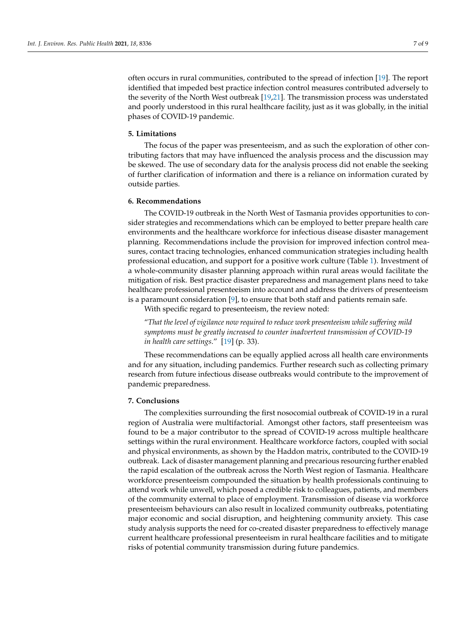often occurs in rural communities, contributed to the spread of infection [\[19\]](#page-7-18). The report identified that impeded best practice infection control measures contributed adversely to the severity of the North West outbreak [\[19,](#page-7-18)[21\]](#page-7-20). The transmission process was understated and poorly understood in this rural healthcare facility, just as it was globally, in the initial phases of COVID-19 pandemic.

## **5. Limitations**

The focus of the paper was presenteeism, and as such the exploration of other contributing factors that may have influenced the analysis process and the discussion may be skewed. The use of secondary data for the analysis process did not enable the seeking of further clarification of information and there is a reliance on information curated by outside parties.

#### **6. Recommendations**

The COVID-19 outbreak in the North West of Tasmania provides opportunities to consider strategies and recommendations which can be employed to better prepare health care environments and the healthcare workforce for infectious disease disaster management planning. Recommendations include the provision for improved infection control measures, contact tracing technologies, enhanced communication strategies including health professional education, and support for a positive work culture (Table [1\)](#page-4-0). Investment of a whole-community disaster planning approach within rural areas would facilitate the mitigation of risk. Best practice disaster preparedness and management plans need to take healthcare professional presenteeism into account and address the drivers of presenteeism is a paramount consideration  $[9]$ , to ensure that both staff and patients remain safe.

With specific regard to presenteeism, the review noted:

"*That the level of vigilance now required to reduce work presenteeism while suffering mild symptoms must be greatly increased to counter inadvertent transmission of COVID-19 in health care settings*." [\[19\]](#page-7-18) (p. 33).

These recommendations can be equally applied across all health care environments and for any situation, including pandemics. Further research such as collecting primary research from future infectious disease outbreaks would contribute to the improvement of pandemic preparedness.

## **7. Conclusions**

The complexities surrounding the first nosocomial outbreak of COVID-19 in a rural region of Australia were multifactorial. Amongst other factors, staff presenteeism was found to be a major contributor to the spread of COVID-19 across multiple healthcare settings within the rural environment. Healthcare workforce factors, coupled with social and physical environments, as shown by the Haddon matrix, contributed to the COVID-19 outbreak. Lack of disaster management planning and precarious resourcing further enabled the rapid escalation of the outbreak across the North West region of Tasmania. Healthcare workforce presenteeism compounded the situation by health professionals continuing to attend work while unwell, which posed a credible risk to colleagues, patients, and members of the community external to place of employment. Transmission of disease via workforce presenteeism behaviours can also result in localized community outbreaks, potentiating major economic and social disruption, and heightening community anxiety. This case study analysis supports the need for co-created disaster preparedness to effectively manage current healthcare professional presenteeism in rural healthcare facilities and to mitigate risks of potential community transmission during future pandemics.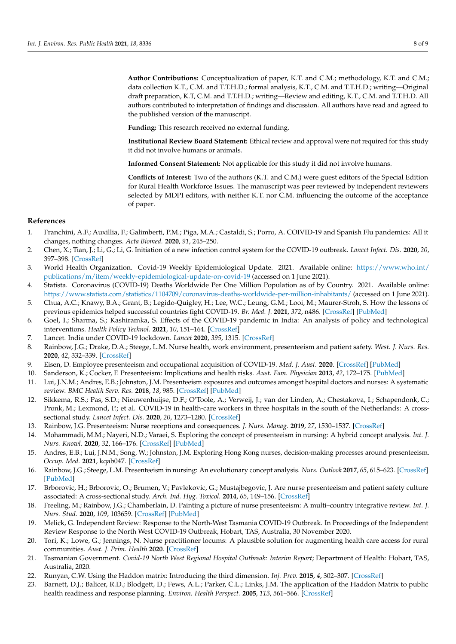**Author Contributions:** Conceptualization of paper, K.T. and C.M.; methodology, K.T. and C.M.; data collection K.T., C.M. and T.T.H.D.; formal analysis, K.T., C.M. and T.T.H.D.; writing—Original draft preparation, K.T, C.M. and T.T.H.D.; writing—Review and editing, K.T., C.M. and T.T.H.D. All authors contributed to interpretation of findings and discussion. All authors have read and agreed to the published version of the manuscript.

**Funding:** This research received no external funding.

**Institutional Review Board Statement:** Ethical review and approval were not required for this study it did not involve humans or animals.

**Informed Consent Statement:** Not applicable for this study it did not involve humans.

**Conflicts of Interest:** Two of the authors (K.T. and C.M.) were guest editors of the Special Edition for Rural Health Workforce Issues. The manuscript was peer reviewed by independent reviewers selected by MDPI editors, with neither K.T. nor C.M. influencing the outcome of the acceptance of paper.

## **References**

- <span id="page-7-0"></span>1. Franchini, A.F.; Auxillia, F.; Galimberti, P.M.; Piga, M.A.; Castaldi, S.; Porro, A. COIVID-19 and Spanish Flu pandemics: All it changes, nothing changes. *Acta Biomed.* **2020**, *91*, 245–250.
- <span id="page-7-1"></span>2. Chen, X.; Tian, J.; Li, G.; Li, G. Initiation of a new infection control system for the COVID-19 outbreak. *Lancet Infect. Dis.* **2020**, *20*, 397–398. [\[CrossRef\]](http://doi.org/10.1016/S1473-3099(20)30110-9)
- <span id="page-7-2"></span>3. World Health Organization. Covid-19 Weekly Epidemiological Update. 2021. Available online: [https://www.who.int/](https://www.who.int/publications/m/item/weekly-epidemiological-update-on-covid-19) [publications/m/item/weekly-epidemiological-update-on-covid-19](https://www.who.int/publications/m/item/weekly-epidemiological-update-on-covid-19) (accessed on 1 June 2021).
- <span id="page-7-3"></span>4. Statista. Coronavirus (COVID-19) Deaths Worldwide Per One Million Population as of by Country. 2021. Available online: <https://www.statista.com/statistics/1104709/coronavirus-deaths-worldwide-per-million-inhabitants/> (accessed on 1 June 2021).
- <span id="page-7-4"></span>5. Chua, A.C.; Knawy, B.A.; Grant, B.; Legido-Quigley, H.; Lee, W.C.; Leung, G.M.; Looi, M.; Maurer-Stroh, S. How the lessons of previous epidemics helped successful countries fight COVID-19. *Br. Med. J.* **2021**, *372*, n486. [\[CrossRef\]](http://doi.org/10.1136/bmj.n486) [\[PubMed\]](http://www.ncbi.nlm.nih.gov/pubmed/33707174)
- <span id="page-7-5"></span>6. Goel, I.; Sharma, S.; Kashiramka, S. Effects of the COVID-19 pandemic in India: An analysis of policy and technological interventions. *Health Policy Technol.* **2021**, *10*, 151–164. [\[CrossRef\]](http://doi.org/10.1016/j.hlpt.2020.12.001)
- <span id="page-7-6"></span>7. Lancet. India under COVID-19 lockdown. *Lancet* **2020**, *395*, 1315. [\[CrossRef\]](http://doi.org/10.1016/S0140-6736(20)30938-7)
- <span id="page-7-7"></span>8. Rainbow, J.G.; Drake, D.A.; Steege, L.M. Nurse health, work environment, presenteeism and patient safety. *West. J. Nurs. Res.* **2020**, *42*, 332–339. [\[CrossRef\]](http://doi.org/10.1177/0193945919863409)
- <span id="page-7-8"></span>9. Eisen, D. Employee presenteeism and occupational acquisition of COVID-19. *Med. J. Aust.* **2020**. [\[CrossRef\]](http://doi.org/10.5694/mja2.50688) [\[PubMed\]](http://www.ncbi.nlm.nih.gov/pubmed/32596817)
- <span id="page-7-9"></span>10. Sanderson, K.; Cocker, F. Presenteeism: Implications and health risks. *Aust. Fam. Physician* **2013**, *42*, 172–175. [\[PubMed\]](http://www.ncbi.nlm.nih.gov/pubmed/23550237)
- <span id="page-7-10"></span>11. Lui, J.N.M.; Andres, E.B.; Johnston, J.M. Presenteeism exposures and outcomes amongst hospital doctors and nurses: A systematic review. *BMC Health Serv. Res.* **2018**, *18*, 985. [\[CrossRef\]](http://doi.org/10.1186/s12913-018-3789-z) [\[PubMed\]](http://www.ncbi.nlm.nih.gov/pubmed/30567547)
- <span id="page-7-11"></span>12. Sikkema, R.S.; Pas, S.D.; Nieuwenhuijse, D.F.; O'Toole, A.; Verweij, J.; van der Linden, A.; Chestakova, I.; Schapendonk, C.; Pronk, M.; Lexmond, P.; et al. COVID-19 in health-care workers in three hospitals in the south of the Netherlands: A crosssectional study. *Lancet Infect. Dis.* **2020**, *20*, 1273–1280. [\[CrossRef\]](http://doi.org/10.1016/S1473-3099(20)30527-2)
- <span id="page-7-12"></span>13. Rainbow, J.G. Presenteeism: Nurse receptions and consequences. *J. Nurs. Manag.* **2019**, *27*, 1530–1537. [\[CrossRef\]](http://doi.org/10.1111/jonm.12839)
- <span id="page-7-13"></span>14. Mohammadi, M.M.; Nayeri, N.D.; Varaei, S. Exploring the concept of presenteeism in nursing: A hybrid concept analysis. *Int. J. Nurs. Knowl.* **2020**, *32*, 166–176. [\[CrossRef\]](http://doi.org/10.1111/2047-3095.12308) [\[PubMed\]](http://www.ncbi.nlm.nih.gov/pubmed/33295699)
- <span id="page-7-14"></span>15. Andres, E.B.; Lui, J.N.M.; Song, W.; Johnston, J.M. Exploring Hong Kong nurses, decision-making processes around presenteeism. *Occup. Med.* **2021**, kqab047. [\[CrossRef\]](http://doi.org/10.1093/occmed/kqab047)
- <span id="page-7-15"></span>16. Rainbow, J.G.; Steege, L.M. Presenteeism in nursing: An evolutionary concept analysis. *Nurs. Outlook* **2017**, *65*, 615–623. [\[CrossRef\]](http://doi.org/10.1016/j.outlook.2017.03.005) [\[PubMed\]](http://www.ncbi.nlm.nih.gov/pubmed/28416202)
- <span id="page-7-16"></span>17. Brborovic, H.; Brborovic, O.; Brumen, V.; Pavlekovic, G.; Mustajbegovic, J. Are nurse presenteeism and patient safety culture associated: A cross-sectional study. *Arch. Ind. Hyg. Toxicol.* **2014**, *65*, 149–156. [\[CrossRef\]](http://doi.org/10.2478/10004-1254-65-2014-2462)
- <span id="page-7-17"></span>18. Freeling, M.; Rainbow, J.G.; Chamberlain, D. Painting a picture of nurse presenteeism: A multi–country integrative review. *Int. J. Nurs. Stud.* **2020**, *109*, 103659. [\[CrossRef\]](http://doi.org/10.1016/j.ijnurstu.2020.103659) [\[PubMed\]](http://www.ncbi.nlm.nih.gov/pubmed/32585449)
- <span id="page-7-18"></span>19. Melick, G. Independent Review: Response to the North-West Tasmania COVID-19 Outbreak. In Proceedings of the Independent Review Response to the North West COVID-19 Outbreak, Hobart, TAS, Australia, 30 November 2020.
- <span id="page-7-19"></span>20. Tori, K.; Lowe, G.; Jennings, N. Nurse practitioner locums: A plausible solution for augmenting health care access for rural communities. *Aust. J. Prim. Health* **2020**. [\[CrossRef\]](http://doi.org/10.1071/PY20103)
- <span id="page-7-20"></span>21. Tasmanian Government. *Covid-19 North West Regional Hospital Outbreak: Interim Report*; Department of Health: Hobart, TAS, Australia, 2020.
- <span id="page-7-21"></span>22. Runyan, C.W. Using the Haddon matrix: Introducing the third dimension. *Inj. Prev.* **2015**, *4*, 302–307. [\[CrossRef\]](http://doi.org/10.1136/ip.4.4.302)
- <span id="page-7-22"></span>23. Barnett, D.J.; Balicer, R.D.; Blodgett, D.; Fews, A.L.; Parker, C.L.; Links, J.M. The application of the Haddon Matrix to public health readiness and response planning. *Environ. Health Perspect.* **2005**, *113*, 561–566. [\[CrossRef\]](http://doi.org/10.1289/ehp.7491)